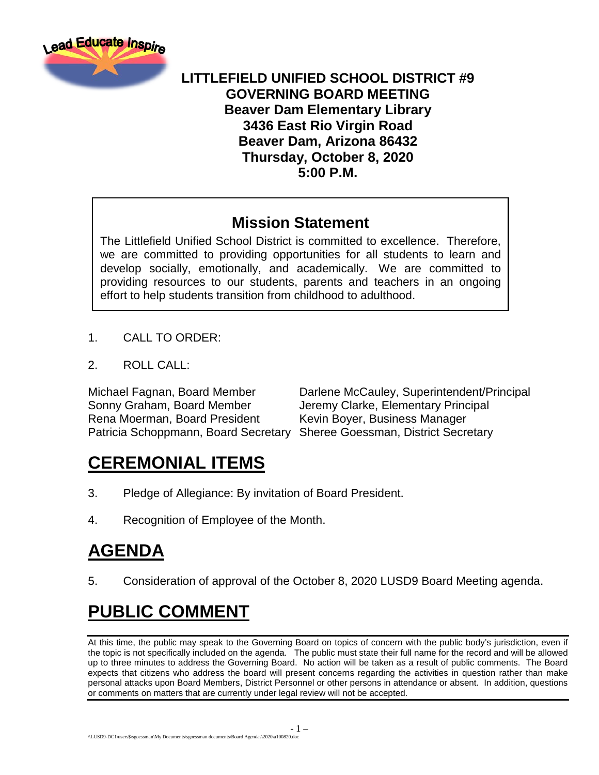

#### **LITTLEFIELD UNIFIED SCHOOL DISTRICT #9 GOVERNING BOARD MEETING Beaver Dam Elementary Library 3436 East Rio Virgin Road Beaver Dam, Arizona 86432 Thursday, October 8, 2020 5:00 P.M.**

#### **Mission Statement**

The Littlefield Unified School District is committed to excellence. Therefore, we are committed to providing opportunities for all students to learn and develop socially, emotionally, and academically. We are committed to providing resources to our students, parents and teachers in an ongoing effort to help students transition from childhood to adulthood.

- 1. CALL TO ORDER:
- 2. ROLL CALL:

Sonny Graham, Board Member Jeremy Clarke, Elementary Principal Rena Moerman, Board President Kevin Boyer, Business Manager Patricia Schoppmann, Board Secretary Sheree Goessman, District Secretary

Michael Fagnan, Board Member Darlene McCauley, Superintendent/Principal

## **CEREMONIAL ITEMS**

- 3. Pledge of Allegiance: By invitation of Board President.
- 4. Recognition of Employee of the Month.

# **AGENDA**

5. Consideration of approval of the October 8, 2020 LUSD9 Board Meeting agenda.

# **PUBLIC COMMENT**

At this time, the public may speak to the Governing Board on topics of concern with the public body's jurisdiction, even if the topic is not specifically included on the agenda. The public must state their full name for the record and will be allowed up to three minutes to address the Governing Board. No action will be taken as a result of public comments. The Board expects that citizens who address the board will present concerns regarding the activities in question rather than make personal attacks upon Board Members, District Personnel or other persons in attendance or absent. In addition, questions or comments on matters that are currently under legal review will not be accepted.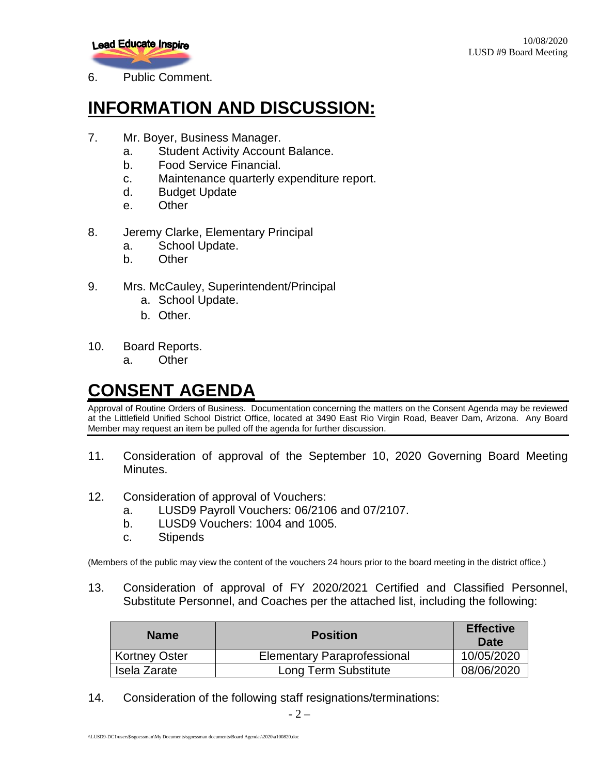

6. Public Comment.

## **INFORMATION AND DISCUSSION:**

- 7. Mr. Boyer, Business Manager.
	- a. Student Activity Account Balance.
	- b. Food Service Financial.
	- c. Maintenance quarterly expenditure report.
	- d. Budget Update
	- e. Other
- 8. Jeremy Clarke, Elementary Principal
	- a. School Update.
	- b. Other
- 9. Mrs. McCauley, Superintendent/Principal
	- a. School Update.
	- b. Other.
- 10. Board Reports.
	- a. Other

## **CONSENT AGENDA**

Approval of Routine Orders of Business. Documentation concerning the matters on the Consent Agenda may be reviewed at the Littlefield Unified School District Office, located at 3490 East Rio Virgin Road, Beaver Dam, Arizona. Any Board Member may request an item be pulled off the agenda for further discussion.

- 11. Consideration of approval of the September 10, 2020 Governing Board Meeting Minutes.
- 12. Consideration of approval of Vouchers:
	- a. LUSD9 Payroll Vouchers: 06/2106 and 07/2107.
	- b. LUSD9 Vouchers: 1004 and 1005.
	- c. Stipends

(Members of the public may view the content of the vouchers 24 hours prior to the board meeting in the district office.)

13. Consideration of approval of FY 2020/2021 Certified and Classified Personnel, Substitute Personnel, and Coaches per the attached list, including the following:

| <b>Name</b>          | <b>Position</b>                    | <b>Effective</b><br>Date |
|----------------------|------------------------------------|--------------------------|
| <b>Kortney Oster</b> | <b>Elementary Paraprofessional</b> | 10/05/2020               |
| Isela Zarate         | Long Term Substitute               | 08/06/2020               |

14. Consideration of the following staff resignations/terminations: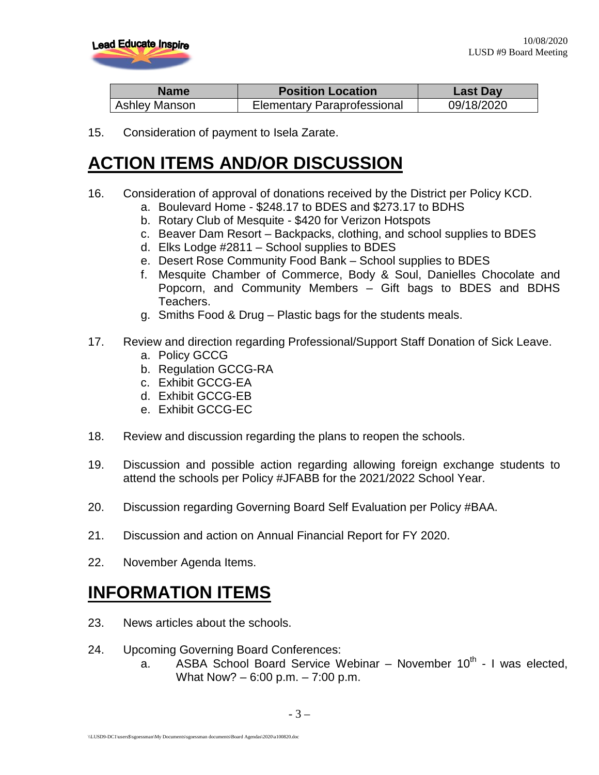

| <b>Name</b>   | <b>Position Location</b>           | <b>Last Day</b> |
|---------------|------------------------------------|-----------------|
| Ashley Manson | <b>Elementary Paraprofessional</b> | 09/18/2020      |

15. Consideration of payment to Isela Zarate.

#### **ACTION ITEMS AND/OR DISCUSSION**

- 16. Consideration of approval of donations received by the District per Policy KCD.
	- a. Boulevard Home \$248.17 to BDES and \$273.17 to BDHS
		- b. Rotary Club of Mesquite \$420 for Verizon Hotspots
		- c. Beaver Dam Resort Backpacks, clothing, and school supplies to BDES
		- d. Elks Lodge #2811 School supplies to BDES
		- e. Desert Rose Community Food Bank School supplies to BDES
		- f. Mesquite Chamber of Commerce, Body & Soul, Danielles Chocolate and Popcorn, and Community Members – Gift bags to BDES and BDHS Teachers.
		- g. Smiths Food & Drug Plastic bags for the students meals.
- 17. Review and direction regarding Professional/Support Staff Donation of Sick Leave.
	- a. Policy GCCG
	- b. Regulation GCCG-RA
	- c. Exhibit GCCG-EA
	- d. Exhibit GCCG-EB
	- e. Exhibit GCCG-EC
- 18. Review and discussion regarding the plans to reopen the schools.
- 19. Discussion and possible action regarding allowing foreign exchange students to attend the schools per Policy #JFABB for the 2021/2022 School Year.
- 20. Discussion regarding Governing Board Self Evaluation per Policy #BAA.
- 21. Discussion and action on Annual Financial Report for FY 2020.
- 22. November Agenda Items.

#### **INFORMATION ITEMS**

- 23. News articles about the schools.
- 24. Upcoming Governing Board Conferences:
	- a. ASBA School Board Service Webinar  $-$  November 10<sup>th</sup> I was elected, What Now? – 6:00 p.m. – 7:00 p.m.